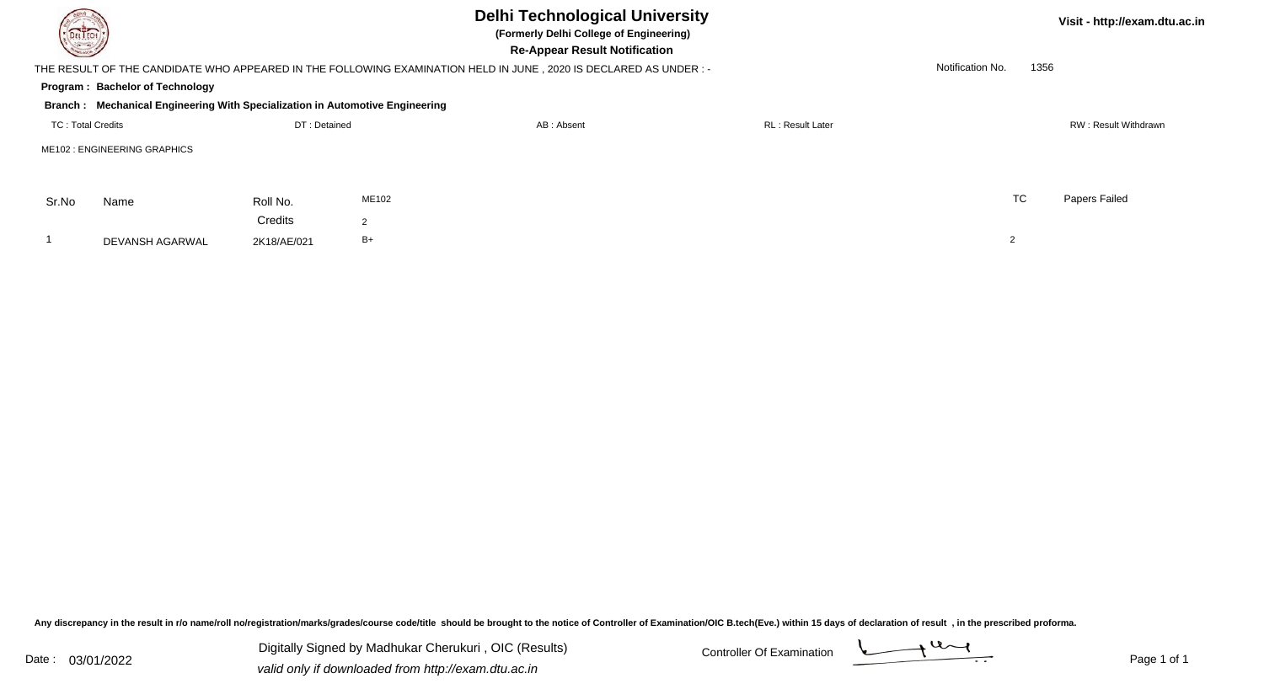| <b>DELTECH</b>           |                                                                              |              |       | <b>Delhi Technological University</b><br>(Formerly Delhi College of Engineering)<br><b>Re-Appear Result Notification</b> |                         |                  | Visit - http://exam.dtu.ac.in |  |  |
|--------------------------|------------------------------------------------------------------------------|--------------|-------|--------------------------------------------------------------------------------------------------------------------------|-------------------------|------------------|-------------------------------|--|--|
|                          |                                                                              |              |       | THE RESULT OF THE CANDIDATE WHO APPEARED IN THE FOLLOWING EXAMINATION HELD IN JUNE, 2020 IS DECLARED AS UNDER: -         |                         | Notification No. | 1356                          |  |  |
|                          | <b>Program: Bachelor of Technology</b>                                       |              |       |                                                                                                                          |                         |                  |                               |  |  |
|                          | Branch: Mechanical Engineering With Specialization in Automotive Engineering |              |       |                                                                                                                          |                         |                  |                               |  |  |
| <b>TC: Total Credits</b> |                                                                              | DT: Detained |       | AB: Absent                                                                                                               | <b>RL: Result Later</b> |                  | RW: Result Withdrawn          |  |  |
|                          | ME102 : ENGINEERING GRAPHICS                                                 |              |       |                                                                                                                          |                         |                  |                               |  |  |
|                          |                                                                              |              |       |                                                                                                                          |                         |                  |                               |  |  |
| Sr.No                    | Name                                                                         | Roll No.     | ME102 |                                                                                                                          |                         | <b>TC</b>        | Papers Failed                 |  |  |
|                          |                                                                              | Credits      | 2     |                                                                                                                          |                         |                  |                               |  |  |
|                          | DEVANSH AGARWAL                                                              | 2K18/AE/021  | $B+$  |                                                                                                                          |                         |                  |                               |  |  |

Any discrepancy in the result in r/o name/roll no/registration/marks/grades/course code/title should be brought to the notice of Controller of Examination/OIC B.tech(Eve.) within 15 days of declaration of result ,in the p